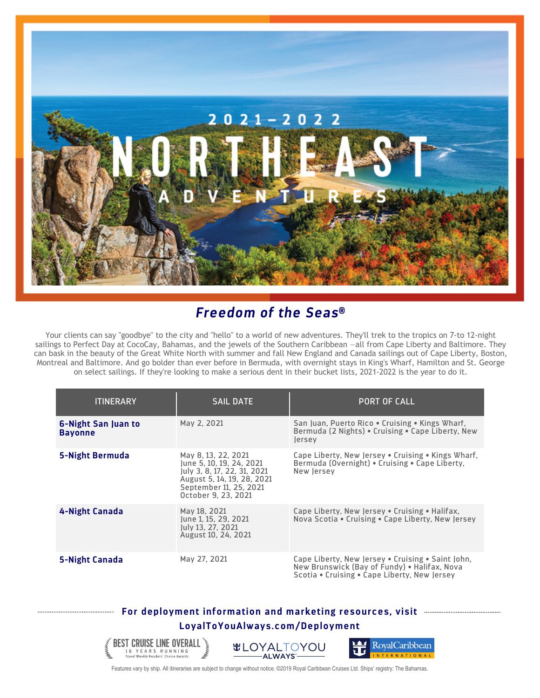

## *Freedom of the Seas***®**

Your clients can say "goodbye" to the city and "hello" to a world of new adventures. They'll trek to the tropics on 7-to 12-night sailings to Perfect Day at CocoCay, Bahamas, and the jewels of the Southern Caribbean —all from Cape Liberty and Baltimore. They can bask in the beauty of the Great White North with summer and fall New England and Canada sailings out of Cape Liberty, Boston, Montreal and Baltimore. And go bolder than ever before in Bermuda, with overnight stays in King's Wharf, Hamilton and St. George on select sailings. If they're looking to make a serious dent in their bucket lists, 2021-2022 is the year to do it.

| <b>ITINERARY</b>                      | <b>SAIL DATE</b>                                                                                                                                              | <b>PORT OF CALL</b>                                                                                                                               |
|---------------------------------------|---------------------------------------------------------------------------------------------------------------------------------------------------------------|---------------------------------------------------------------------------------------------------------------------------------------------------|
| 6-Night San Juan to<br><b>Bayonne</b> | May 2, 2021                                                                                                                                                   | San Juan, Puerto Rico • Cruising • Kings Wharf,<br>Bermuda (2 Nights) • Cruising • Cape Liberty, New<br>lersey                                    |
| 5-Night Bermuda                       | May 8, 13, 22, 2021<br>June 5, 10, 19, 24, 2021<br>July 3, 8, 17, 22, 31, 2021<br>August 5, 14, 19, 28, 2021<br>September 11, 25, 2021<br>October 9, 23, 2021 | Cape Liberty, New Jersey . Cruising . Kings Wharf,<br>Bermuda (Overnight) • Cruising • Cape Liberty,<br>New lersey                                |
| 4-Night Canada                        | May 18, 2021<br>June 1, 15, 29, 2021<br>July 13, 27, 2021<br>August 10, 24, 2021                                                                              | Cape Liberty, New Jersey • Cruising • Halifax,<br>Nova Scotia • Cruising • Cape Liberty, New Jersey                                               |
| 5-Night Canada                        | May 27, 2021                                                                                                                                                  | Cape Liberty, New Jersey • Cruising • Saint John,<br>New Brunswick (Bay of Fundy) • Halifax, Nova<br>Scotia . Cruising . Cape Liberty, New Jersey |

## **For deployment information and marketing resources, visit LoyalToYouAlways.com/Deployment**

**BEST CRUISE LINE OVERALL** 

16 Y E A R S R U N N I N G<br>Travel Weekly Readers' Choice Awards





Features vary by ship. All itineraries are subject to change without notice. ©2019 Royal Caribbean Cruises Ltd. Ships' registry: The Bahamas.